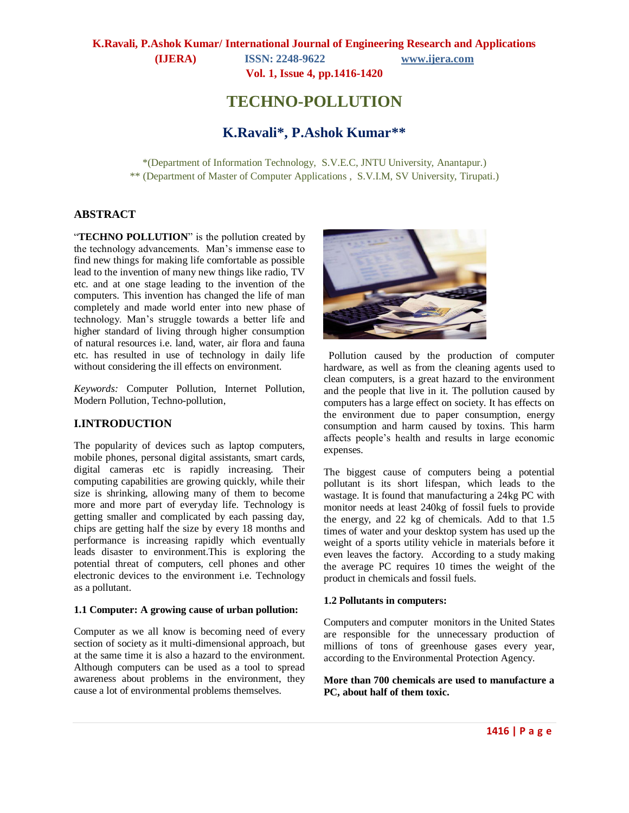**Vol. 1, Issue 4, pp.1416-1420**

# **TECHNO-POLLUTION**

## **K.Ravali\*, P.Ashok Kumar\*\***

\*(Department of Information Technology, S.V.E.C, JNTU University, Anantapur.) \*\* (Department of Master of Computer Applications , S.V.I.M, SV University, Tirupati.)

#### **ABSTRACT**

"TECHNO POLLUTION" is the pollution created by the technology advancements. Man's immense ease to find new things for making life comfortable as possible lead to the invention of many new things like radio, TV etc. and at one stage leading to the invention of the computers. This invention has changed the life of man completely and made world enter into new phase of technology. Man's struggle towards a better life and higher standard of living through higher consumption of natural resources i.e. land, water, air flora and fauna etc. has resulted in use of technology in daily life without considering the ill effects on environment.

*Keywords:* Computer Pollution, Internet Pollution, Modern Pollution, Techno-pollution,

#### **I.INTRODUCTION**

The popularity of devices such as laptop computers, mobile phones, personal digital assistants, smart cards, digital cameras etc is rapidly increasing. Their computing capabilities are growing quickly, while their size is shrinking, allowing many of them to become more and more part of everyday life. Technology is getting smaller and complicated by each passing day, chips are getting half the size by every 18 months and performance is increasing rapidly which eventually leads disaster to environment.This is exploring the potential threat of computers, cell phones and other electronic devices to the environment i.e. Technology as a pollutant.

#### **1.1 Computer: A growing cause of urban pollution:**

Computer as we all know is becoming need of every section of society as it multi-dimensional approach, but at the same time it is also a hazard to the environment. Although computers can be used as a tool to spread awareness about problems in the environment, they cause a lot of environmental problems themselves.



 Pollution caused by the production of computer hardware, as well as from the cleaning agents used to clean computers, is a great hazard to the environment and the people that live in it. The pollution caused by computers has a large effect on society. It has effects on the environment due to paper consumption, energy consumption and harm caused by toxins. This harm affects people's health and results in large economic expenses.

The biggest cause of computers being a potential pollutant is its short lifespan, which leads to the wastage. It is found that manufacturing a 24kg PC with monitor needs at least 240kg of fossil fuels to provide the energy, and 22 kg of chemicals. Add to that 1.5 times of water and your desktop system has used up the weight of a sports utility vehicle in materials before it even leaves the factory. According to a study making the average PC requires 10 times the weight of the product in chemicals and fossil fuels.

#### **1.2 Pollutants in computers:**

Computers and computer monitors in the United States are responsible for the unnecessary production of millions of tons of greenhouse gases every year, according to the Environmental Protection Agency.

**More than 700 chemicals are used to manufacture a PC, about half of them toxic.**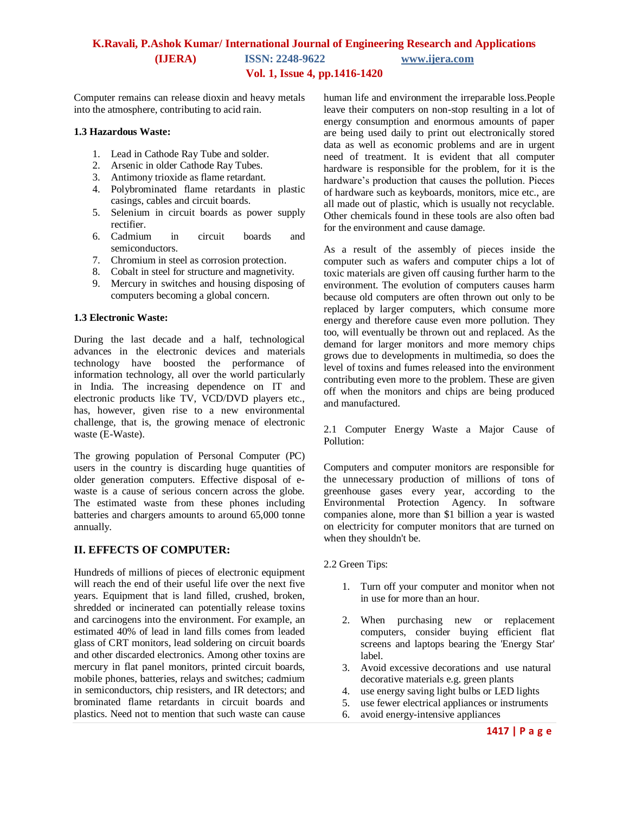Computer remains can release dioxin and heavy metals into the atmosphere, contributing to acid rain.

#### **1.3 Hazardous Waste:**

- 1. Lead in Cathode Ray Tube and solder.
- 2. Arsenic in older Cathode Ray Tubes.
- 3. Antimony trioxide as flame retardant.
- 4. Polybrominated flame retardants in plastic casings, cables and circuit boards.
- 5. Selenium in circuit boards as power supply rectifier.
- 6. Cadmium in circuit boards and semiconductors.
- 7. Chromium in steel as corrosion protection.
- 8. Cobalt in steel for structure and magnetivity.
- 9. Mercury in switches and housing disposing of computers becoming a global concern.

#### **1.3 Electronic Waste:**

During the last decade and a half, technological advances in the electronic devices and materials technology have boosted the performance of information technology, all over the world particularly in India. The increasing dependence on IT and electronic products like TV, VCD/DVD players etc., has, however, given rise to a new environmental challenge, that is, the growing menace of electronic waste (E-Waste).

The growing population of Personal Computer (PC) users in the country is discarding huge quantities of older generation computers. Effective disposal of ewaste is a cause of serious concern across the globe. The estimated waste from these phones including batteries and chargers amounts to around 65,000 tonne annually.

#### **II. EFFECTS OF COMPUTER:**

Hundreds of millions of pieces of electronic equipment will reach the end of their useful life over the next five years. Equipment that is land filled, crushed, broken, shredded or incinerated can potentially release toxins and carcinogens into the environment. For example, an estimated 40% of lead in land fills comes from leaded glass of CRT monitors, lead soldering on circuit boards and other discarded electronics. Among other toxins are mercury in flat panel monitors, printed circuit boards, mobile phones, batteries, relays and switches; cadmium in semiconductors, chip resisters, and IR detectors; and brominated flame retardants in circuit boards and plastics. Need not to mention that such waste can cause human life and environment the irreparable loss.People leave their computers on non-stop resulting in a lot of energy consumption and enormous amounts of paper are being used daily to print out electronically stored data as well as economic problems and are in urgent need of treatment. It is evident that all computer hardware is responsible for the problem, for it is the hardware's production that causes the pollution. Pieces of hardware such as keyboards, monitors, mice etc., are all made out of plastic, which is usually not recyclable. Other chemicals found in these tools are also often bad for the environment and cause damage.

As a result of the assembly of pieces inside the computer such as wafers and computer chips a lot of toxic materials are given off causing further harm to the environment. The evolution of computers causes harm because old computers are often thrown out only to be replaced by larger computers, which consume more energy and therefore cause even more pollution. They too, will eventually be thrown out and replaced. As the demand for larger monitors and more memory chips grows due to developments in multimedia, so does the level of toxins and fumes released into the environment contributing even more to the problem. These are given off when the monitors and chips are being produced and manufactured.

2.1 Computer Energy Waste a Major Cause of Pollution:

Computers and computer monitors are responsible for the unnecessary production of millions of tons of greenhouse gases every year, according to the Environmental Protection Agency. In software companies alone, more than \$1 billion a year is wasted on electricity for computer monitors that are turned on when they shouldn't be.

- 2.2 Green Tips:
	- 1. Turn off your computer and monitor when not in use for more than an hour.
	- 2. When purchasing new or replacement computers, consider buying efficient flat screens and laptops bearing the 'Energy Star' label.
	- 3. Avoid excessive decorations and use natural decorative materials e.g. green plants
	- 4. use energy saving light bulbs or LED lights
	- 5. use fewer electrical appliances or instruments
	- 6. avoid energy-intensive appliances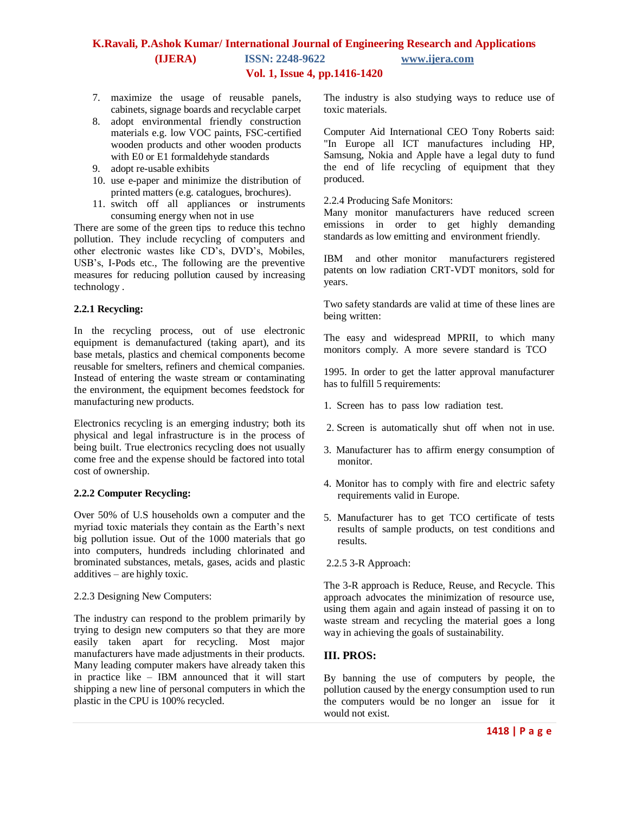- 7. maximize the usage of reusable panels, cabinets, signage boards and recyclable carpet
- 8. adopt environmental friendly construction materials e.g. low VOC paints, FSC-certified wooden products and other wooden products with E0 or E1 formaldehyde standards
- 9. adopt re-usable exhibits
- 10. use e-paper and minimize the distribution of printed matters (e.g. catalogues, brochures).
- 11. switch off all appliances or instruments consuming energy when not in use

There are some of the green tips to reduce this techno pollution. They include recycling of computers and other electronic wastes like CD's, DVD's, Mobiles, USB's, I-Pods etc., The following are the preventive measures for reducing pollution caused by increasing technology .

#### **2.2.1 Recycling:**

In the recycling process, out of use electronic equipment is demanufactured (taking apart), and its base metals, plastics and chemical components become reusable for smelters, refiners and chemical companies. Instead of entering the waste stream or contaminating the environment, the equipment becomes feedstock for manufacturing new products.

Electronics recycling is an emerging industry; both its physical and legal infrastructure is in the process of being built. True electronics recycling does not usually come free and the expense should be factored into total cost of ownership.

#### **2.2.2 Computer Recycling:**

Over 50% of U.S households own a computer and the myriad toxic materials they contain as the Earth's next big pollution issue. Out of the 1000 materials that go into computers, hundreds including chlorinated and brominated substances, metals, gases, acids and plastic additives – are highly toxic.

#### 2.2.3 Designing New Computers:

The industry can respond to the problem primarily by trying to design new computers so that they are more easily taken apart for recycling. Most major manufacturers have made adjustments in their products. Many leading computer makers have already taken this in practice like – IBM announced that it will start shipping a new line of personal computers in which the plastic in the CPU is 100% recycled.

The industry is also studying ways to reduce use of toxic materials.

Computer Aid International CEO Tony Roberts said: "In Europe all ICT manufactures including HP, Samsung, Nokia and Apple have a legal duty to fund the end of life recycling of equipment that they produced.

#### 2.2.4 Producing Safe Monitors:

Many monitor manufacturers have reduced screen emissions in order to get highly demanding standards as low emitting and environment friendly.

IBM and other monitor manufacturers registered patents on low radiation CRT-VDT monitors, sold for years.

Two safety standards are valid at time of these lines are being written:

The easy and widespread MPRII, to which many monitors comply. A more severe standard is TCO

1995. In order to get the latter approval manufacturer has to fulfill 5 requirements:

- 1. Screen has to pass low radiation test.
- 2. Screen is automatically shut off when not in use.
- 3. Manufacturer has to affirm energy consumption of monitor.
- 4. Monitor has to comply with fire and electric safety requirements valid in Europe.
- 5. Manufacturer has to get TCO certificate of tests results of sample products, on test conditions and results.

#### 2.2.5 3-R Approach:

The 3-R approach is Reduce, Reuse, and Recycle. This approach advocates the minimization of resource use, using them again and again instead of passing it on to waste stream and recycling the material goes a long way in achieving the goals of sustainability.

#### **III. PROS:**

By banning the use of computers by people, the pollution caused by the energy consumption used to run the computers would be no longer an issue for it would not exist.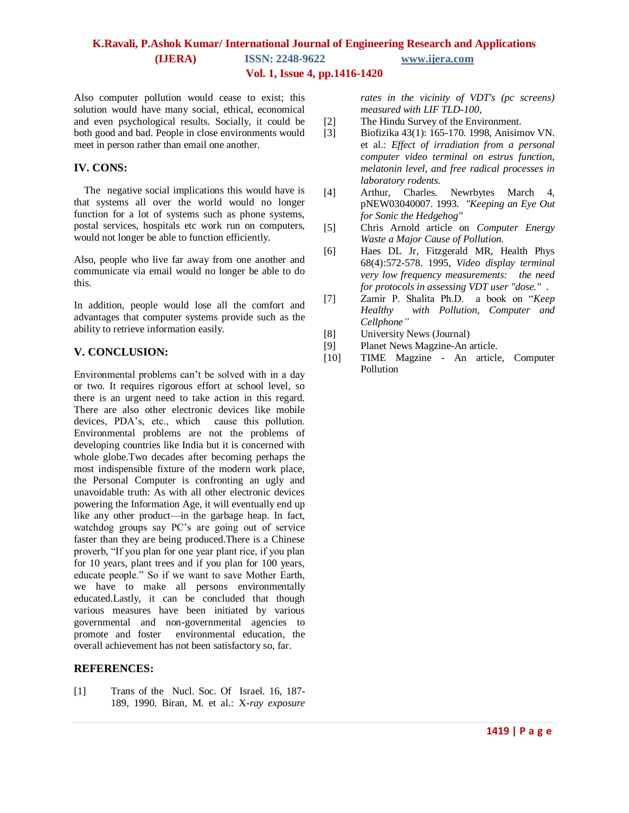Also computer pollution would cease to exist; this solution would have many social, ethical, economical and even psychological results. Socially, it could be both good and bad. People in close environments would meet in person rather than email one another.

#### **IV. CONS:**

 The negative social implications this would have is that systems all over the world would no longer function for a lot of systems such as phone systems, postal services, hospitals etc work run on computers, would not longer be able to function efficiently.

Also, people who live far away from one another and communicate via email would no longer be able to do this.

In addition, people would lose all the comfort and advantages that computer systems provide such as the ability to retrieve information easily.

#### **V. CONCLUSION:**

Environmental problems can't be solved with in a day or two. It requires rigorous effort at school level, so there is an urgent need to take action in this regard. There are also other electronic devices like mobile devices, PDA's, etc., which cause this pollution. Environmental problems are not the problems of developing countries like India but it is concerned with whole globe.Two decades after becoming perhaps the most indispensible fixture of the modern work place, the Personal Computer is confronting an ugly and unavoidable truth: As with all other electronic devices powering the Information Age, it will eventually end up like any other product—in the garbage heap. In fact, watchdog groups say PC's are going out of service faster than they are being produced.There is a Chinese proverb, "If you plan for one year plant rice, if you plan for 10 years, plant trees and if you plan for 100 years, educate people." So if we want to save Mother Earth, we have to make all persons environmentally educated.Lastly, it can be concluded that though various measures have been initiated by various governmental and non-governmental agencies to environmental education, the overall achievement has not been satisfactory so, far.

#### **REFERENCES:**

[1] Trans of the Nucl. Soc. Of Israel. 16, 187-189, 1990. Biran, M. et al.: X*-ray exposure*  *rates in the vicinity of VDT's (pc screens) measured with LIF TLD-100,* 

- [2] The Hindu Survey of the Environment.
- [3] Biofizika 43(1): 165-170. 1998, Anisimov VN. et al.: *Effect of irradiation from a personal computer video terminal on estrus function, melatonin level, and free radical processes in laboratory rodents.*
- [4] Arthur, Charles. Newrbytes March 4, pNEW03040007. 1993. *"Keeping an Eye Out for Sonic the Hedgehog"*
- [5] Chris Arnold article on *Computer Energy Waste a Major Cause of Pollution.*
- [6] Haes DL Jr, Fitzgerald MR, Health Phys 68(4):572-578. 1995, *Video display terminal very low frequency measurements: the need for protocols in assessing VDT user "dose."* .
- [7] Zamir P. Shalita Ph.D. a book on ―*Keep Healthy with Pollution, Computer and Cellphone"*
- [8] University News (Journal)
- [9] Planet News Magzine-An article.
- [10] TIME Magzine An article, Computer Pollution